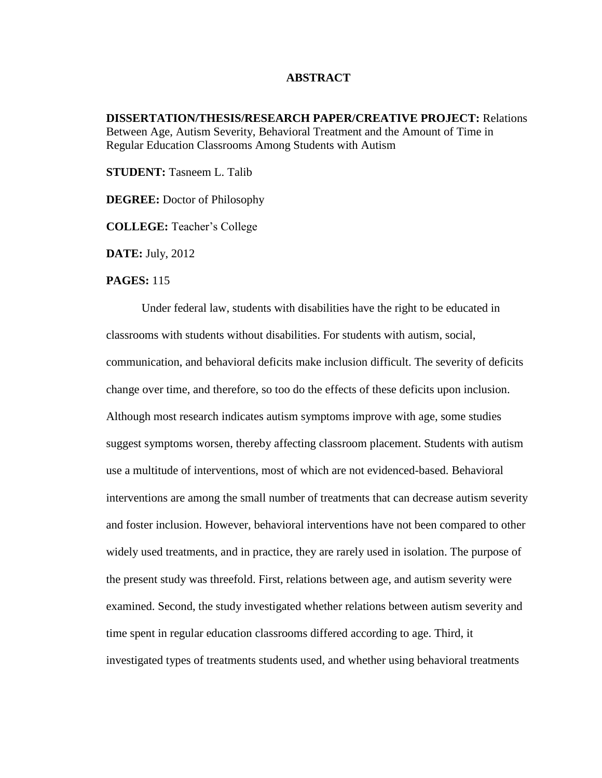## **ABSTRACT**

**DISSERTATION/THESIS/RESEARCH PAPER/CREATIVE PROJECT:** Relations Between Age, Autism Severity, Behavioral Treatment and the Amount of Time in Regular Education Classrooms Among Students with Autism

**STUDENT:** Tasneem L. Talib

**DEGREE:** Doctor of Philosophy

**COLLEGE:** Teacher's College

**DATE:** July, 2012

## **PAGES:** 115

Under federal law, students with disabilities have the right to be educated in classrooms with students without disabilities. For students with autism, social, communication, and behavioral deficits make inclusion difficult. The severity of deficits change over time, and therefore, so too do the effects of these deficits upon inclusion. Although most research indicates autism symptoms improve with age, some studies suggest symptoms worsen, thereby affecting classroom placement. Students with autism use a multitude of interventions, most of which are not evidenced-based. Behavioral interventions are among the small number of treatments that can decrease autism severity and foster inclusion. However, behavioral interventions have not been compared to other widely used treatments, and in practice, they are rarely used in isolation. The purpose of the present study was threefold. First, relations between age, and autism severity were examined. Second, the study investigated whether relations between autism severity and time spent in regular education classrooms differed according to age. Third, it investigated types of treatments students used, and whether using behavioral treatments